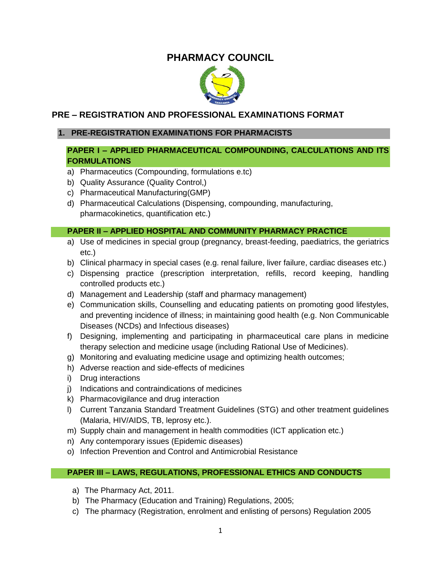# **PHARMACY COUNCIL**



# **PRE – REGISTRATION AND PROFESSIONAL EXAMINATIONS FORMAT**

# **1. PRE-REGISTRATION EXAMINATIONS FOR PHARMACISTS**

# **PAPER I – APPLIED PHARMACEUTICAL COMPOUNDING, CALCULATIONS AND ITS FORMULATIONS**

- a) Pharmaceutics (Compounding, formulations e.tc)
- b) Quality Assurance (Quality Control,)
- c) Pharmaceutical Manufacturing(GMP)
- d) Pharmaceutical Calculations (Dispensing, compounding, manufacturing, pharmacokinetics, quantification etc.)

# **PAPER II – APPLIED HOSPITAL AND COMMUNITY PHARMACY PRACTICE**

- a) Use of medicines in special group (pregnancy, breast-feeding, paediatrics, the geriatrics etc.)
- b) Clinical pharmacy in special cases (e.g. renal failure, liver failure, cardiac diseases etc.)
- c) Dispensing practice (prescription interpretation, refills, record keeping, handling controlled products etc.)
- d) Management and Leadership (staff and pharmacy management)
- e) Communication skills, Counselling and educating patients on promoting good lifestyles, and preventing incidence of illness; in maintaining good health (e.g. Non Communicable Diseases (NCDs) and Infectious diseases)
- f) Designing, implementing and participating in pharmaceutical care plans in medicine therapy selection and medicine usage (including Rational Use of Medicines).
- g) Monitoring and evaluating medicine usage and optimizing health outcomes;
- h) Adverse reaction and side-effects of medicines
- i) Drug interactions
- j) Indications and contraindications of medicines
- k) Pharmacovigilance and drug interaction
- l) Current Tanzania Standard Treatment Guidelines (STG) and other treatment guidelines (Malaria, HIV/AIDS, TB, leprosy etc.).
- m) Supply chain and management in health commodities (ICT application etc.)
- n) Any contemporary issues (Epidemic diseases)
- o) Infection Prevention and Control and Antimicrobial Resistance

- a) The Pharmacy Act, 2011.
- b) The Pharmacy (Education and Training) Regulations, 2005;
- c) The pharmacy (Registration, enrolment and enlisting of persons) Regulation 2005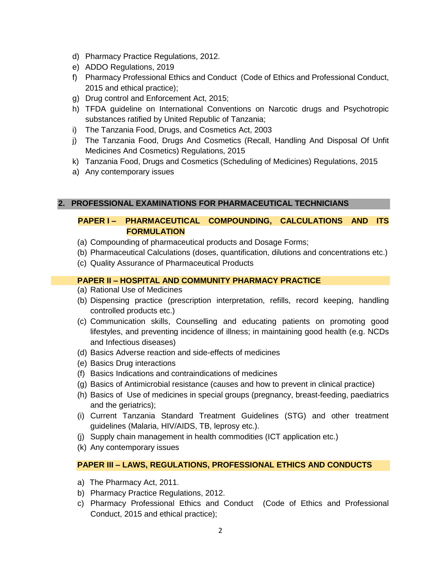- d) Pharmacy Practice Regulations, 2012.
- e) ADDO Regulations, 2019
- f) Pharmacy Professional Ethics and Conduct (Code of Ethics and Professional Conduct, 2015 and ethical practice);
- g) Drug control and Enforcement Act, 2015;
- h) TFDA guideline on International Conventions on Narcotic drugs and Psychotropic substances ratified by United Republic of Tanzania;
- i) The Tanzania Food, Drugs, and Cosmetics Act, 2003
- j) The Tanzania Food, Drugs And Cosmetics (Recall, Handling And Disposal Of Unfit Medicines And Cosmetics) Regulations, 2015
- k) Tanzania Food, Drugs and Cosmetics (Scheduling of Medicines) Regulations, 2015
- a) Any contemporary issues

# **2. PROFESSIONAL EXAMINATIONS FOR PHARMACEUTICAL TECHNICIANS**

# **PAPER I – PHARMACEUTICAL COMPOUNDING, CALCULATIONS AND ITS FORMULATION**

- (a) Compounding of pharmaceutical products and Dosage Forms;
- (b) Pharmaceutical Calculations (doses, quantification, dilutions and concentrations etc.)
- (c) Quality Assurance of Pharmaceutical Products

# **PAPER II – HOSPITAL AND COMMUNITY PHARMACY PRACTICE**

- (a) Rational Use of Medicines
- (b) Dispensing practice (prescription interpretation, refills, record keeping, handling controlled products etc.)
- (c) Communication skills, Counselling and educating patients on promoting good lifestyles, and preventing incidence of illness; in maintaining good health (e.g. NCDs and Infectious diseases)
- (d) Basics Adverse reaction and side-effects of medicines
- (e) Basics Drug interactions
- (f) Basics Indications and contraindications of medicines
- (g) Basics of Antimicrobial resistance (causes and how to prevent in clinical practice)
- (h) Basics of Use of medicines in special groups (pregnancy, breast-feeding, paediatrics and the geriatrics);
- (i) Current Tanzania Standard Treatment Guidelines (STG) and other treatment guidelines (Malaria, HIV/AIDS, TB, leprosy etc.).
- (j) Supply chain management in health commodities (ICT application etc.)
- (k) Any contemporary issues

- a) The Pharmacy Act, 2011.
- b) Pharmacy Practice Regulations, 2012.
- c) Pharmacy Professional Ethics and Conduct (Code of Ethics and Professional Conduct, 2015 and ethical practice);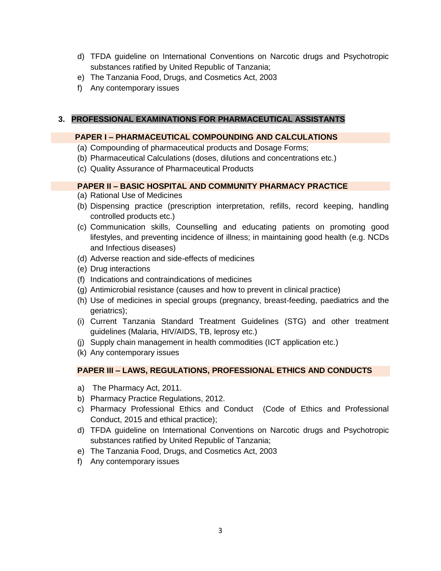- d) TFDA guideline on International Conventions on Narcotic drugs and Psychotropic substances ratified by United Republic of Tanzania;
- e) The Tanzania Food, Drugs, and Cosmetics Act, 2003
- f) Any contemporary issues

# **3. PROFESSIONAL EXAMINATIONS FOR PHARMACEUTICAL ASSISTANTS**

# **PAPER I – PHARMACEUTICAL COMPOUNDING AND CALCULATIONS**

- (a) Compounding of pharmaceutical products and Dosage Forms;
- (b) Pharmaceutical Calculations (doses, dilutions and concentrations etc.)
- (c) Quality Assurance of Pharmaceutical Products

# **PAPER II – BASIC HOSPITAL AND COMMUNITY PHARMACY PRACTICE**

- (a) Rational Use of Medicines
- (b) Dispensing practice (prescription interpretation, refills, record keeping, handling controlled products etc.)
- (c) Communication skills, Counselling and educating patients on promoting good lifestyles, and preventing incidence of illness; in maintaining good health (e.g. NCDs and Infectious diseases)
- (d) Adverse reaction and side-effects of medicines
- (e) Drug interactions
- (f) Indications and contraindications of medicines
- (g) Antimicrobial resistance (causes and how to prevent in clinical practice)
- (h) Use of medicines in special groups (pregnancy, breast-feeding, paediatrics and the geriatrics);
- (i) Current Tanzania Standard Treatment Guidelines (STG) and other treatment guidelines (Malaria, HIV/AIDS, TB, leprosy etc.)
- (j) Supply chain management in health commodities (ICT application etc.)
- (k) Any contemporary issues

- a) The Pharmacy Act, 2011.
- b) Pharmacy Practice Regulations, 2012.
- c) Pharmacy Professional Ethics and Conduct (Code of Ethics and Professional Conduct, 2015 and ethical practice);
- d) TFDA guideline on International Conventions on Narcotic drugs and Psychotropic substances ratified by United Republic of Tanzania;
- e) The Tanzania Food, Drugs, and Cosmetics Act, 2003
- f) Any contemporary issues